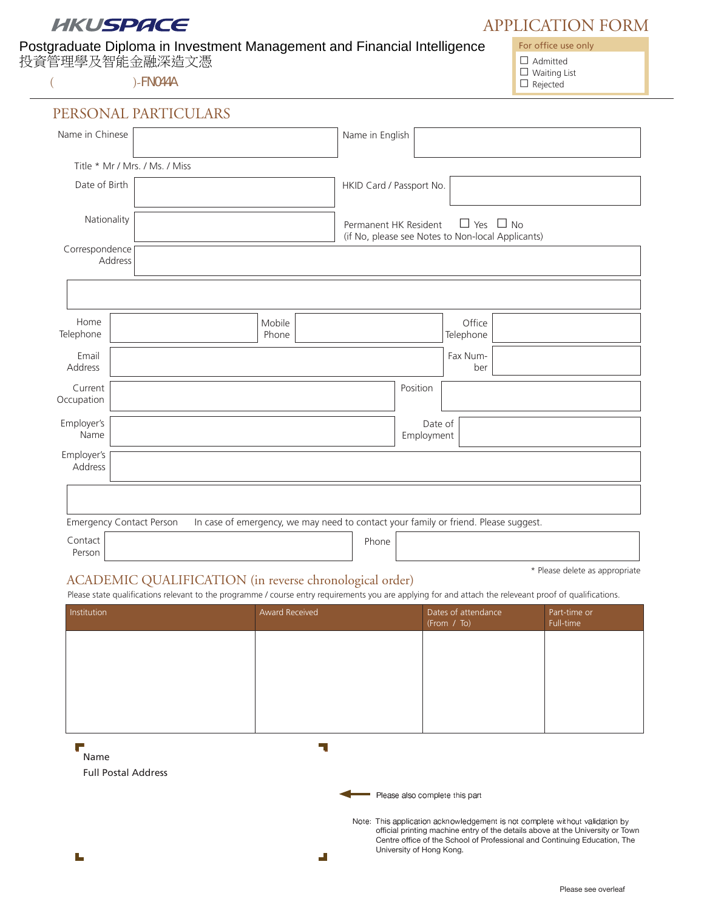# HKUSPACE

# Postgraduate Diploma in Investment Management and Financial Intelligence

投資管理學及智能金融深造文憑

 $\overline{a}$  )-FN044A  $\overline{a}$  Rejected

APPLICATION FORM

For office use only

 $\Box$  Admitted

 $\Box$  Waiting List

| Name in Chinese           |                                 |                                                                                                    | Name in English          |                       |                     |  |
|---------------------------|---------------------------------|----------------------------------------------------------------------------------------------------|--------------------------|-----------------------|---------------------|--|
|                           | Title * Mr / Mrs. / Ms. / Miss  |                                                                                                    |                          |                       |                     |  |
| Date of Birth             |                                 |                                                                                                    | HKID Card / Passport No. |                       |                     |  |
| Nationality               |                                 | $\Box$ Yes $\Box$ No<br>Permanent HK Resident<br>(if No, please see Notes to Non-local Applicants) |                          |                       |                     |  |
| Correspondence<br>Address |                                 |                                                                                                    |                          |                       |                     |  |
|                           |                                 |                                                                                                    |                          |                       |                     |  |
| Home<br>Telephone         |                                 | Mobile<br>Phone                                                                                    |                          |                       | Office<br>Telephone |  |
| Email<br>Address          |                                 |                                                                                                    |                          |                       | Fax Num-<br>ber     |  |
| Current<br>Occupation     |                                 |                                                                                                    | Position                 |                       |                     |  |
| Employer's<br>Name        |                                 |                                                                                                    |                          | Date of<br>Employment |                     |  |
| Employer's<br>Address     |                                 |                                                                                                    |                          |                       |                     |  |
|                           |                                 |                                                                                                    |                          |                       |                     |  |
|                           | <b>Emergency Contact Person</b> | In case of emergency, we may need to contact your family or friend. Please suggest.                |                          |                       |                     |  |
| Contact<br>Person         |                                 |                                                                                                    | Phone                    |                       |                     |  |

## ACADEMIC QUALIFICATION (in reverse chronological order)

\* Please delete as appropriate

Please state qualifications relevant to the programme / course entry requirements you are applying for and attach the releveant proof of qualifications.

| Institution | Award Received | Dates of attendance<br>(From / To) | Part-time or<br>Full-time |
|-------------|----------------|------------------------------------|---------------------------|
|             |                |                                    |                           |
|             |                |                                    |                           |
|             |                |                                    |                           |
|             |                |                                    |                           |

ہے۔ Name

Full Postal Address

۳

 $\overline{\phantom{a}}$ 

- - - -  

 - - - - - official printing machine entry of the details above at the University or Town Centre office of the School of Professional and Continuing Education, The University of Hong Kong.